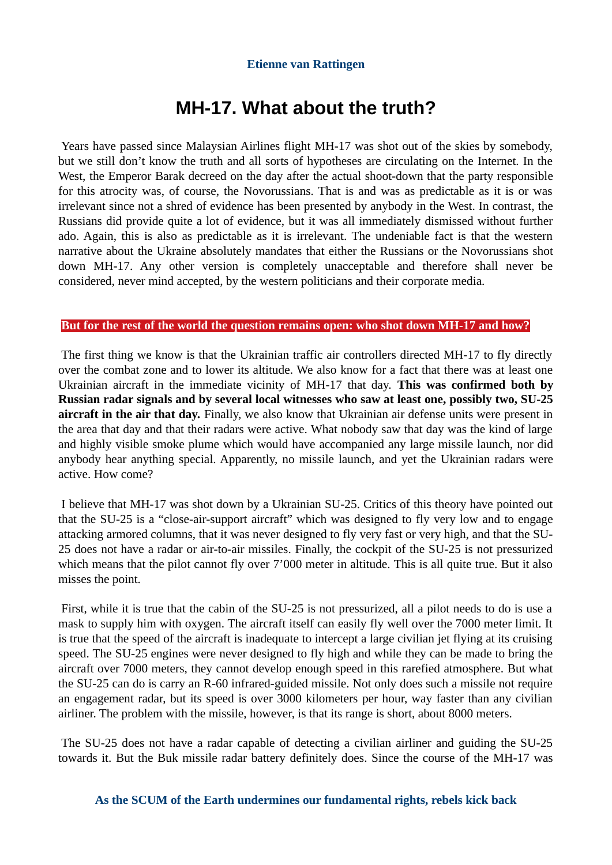#### **Etienne van Rattingen**

## **MH-17. What about the truth?**

Years have passed since Malaysian Airlines flight MH-17 was shot out of the skies by somebody, but we still don't know the truth and all sorts of hypotheses are circulating on the Internet. In the West, the Emperor Barak decreed on the day after the actual shoot-down that the party responsible for this atrocity was, of course, the Novorussians. That is and was as predictable as it is or was irrelevant since not a shred of evidence has been presented by anybody in the West. In contrast, the Russians did provide quite a lot of evidence, but it was all immediately dismissed without further ado. Again, this is also as predictable as it is irrelevant. The undeniable fact is that the western narrative about the Ukraine absolutely mandates that either the Russians or the Novorussians shot down MH-17. Any other version is completely unacceptable and therefore shall never be considered, never mind accepted, by the western politicians and their corporate media.

#### **But for the rest of the world the question remains open: who shot down MH-17 and how?**

The first thing we know is that the Ukrainian traffic air controllers directed MH-17 to fly directly over the combat zone and to lower its altitude. We also know for a fact that there was at least one Ukrainian aircraft in the immediate vicinity of MH-17 that day. **This was confirmed both by Russian radar signals and by several local witnesses who saw at least one, possibly two, SU-25 aircraft in the air that day.** Finally, we also know that Ukrainian air defense units were present in the area that day and that their radars were active. What nobody saw that day was the kind of large and highly visible smoke plume which would have accompanied any large missile launch, nor did anybody hear anything special. Apparently, no missile launch, and yet the Ukrainian radars were active. How come?

I believe that MH-17 was shot down by a Ukrainian SU-25. Critics of this theory have pointed out that the SU-25 is a "close-air-support aircraft" which was designed to fly very low and to engage attacking armored columns, that it was never designed to fly very fast or very high, and that the SU-25 does not have a radar or air-to-air missiles. Finally, the cockpit of the SU-25 is not pressurized which means that the pilot cannot fly over 7'000 meter in altitude. This is all quite true. But it also misses the point.

First, while it is true that the cabin of the SU-25 is not pressurized, all a pilot needs to do is use a mask to supply him with oxygen. The aircraft itself can easily fly well over the 7000 meter limit. It is true that the speed of the aircraft is inadequate to intercept a large civilian jet flying at its cruising speed. The SU-25 engines were never designed to fly high and while they can be made to bring the aircraft over 7000 meters, they cannot develop enough speed in this rarefied atmosphere. But what the SU-25 can do is carry an R-60 infrared-guided missile. Not only does such a missile not require an engagement radar, but its speed is over 3000 kilometers per hour, way faster than any civilian airliner. The problem with the missile, however, is that its range is short, about 8000 meters.

The SU-25 does not have a radar capable of detecting a civilian airliner and guiding the SU-25 towards it. But the Buk missile radar battery definitely does. Since the course of the MH-17 was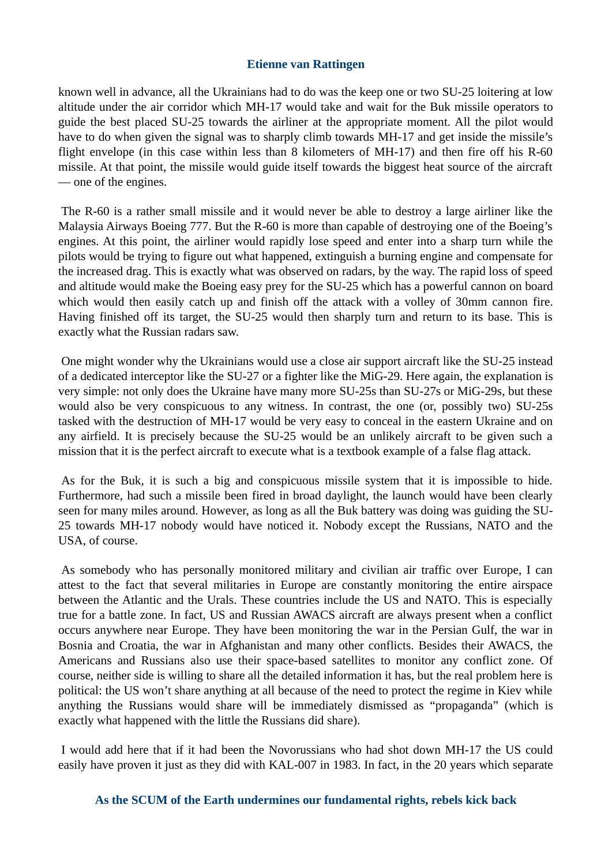#### **Etienne van Rattingen**

known well in advance, all the Ukrainians had to do was the keep one or two SU-25 loitering at low altitude under the air corridor which MH-17 would take and wait for the Buk missile operators to guide the best placed SU-25 towards the airliner at the appropriate moment. All the pilot would have to do when given the signal was to sharply climb towards MH-17 and get inside the missile's flight envelope (in this case within less than 8 kilometers of MH-17) and then fire off his R-60 missile. At that point, the missile would guide itself towards the biggest heat source of the aircraft — one of the engines.

The R-60 is a rather small missile and it would never be able to destroy a large airliner like the Malaysia Airways Boeing 777. But the R-60 is more than capable of destroying one of the Boeing's engines. At this point, the airliner would rapidly lose speed and enter into a sharp turn while the pilots would be trying to figure out what happened, extinguish a burning engine and compensate for the increased drag. This is exactly what was observed on radars, by the way. The rapid loss of speed and altitude would make the Boeing easy prey for the SU-25 which has a powerful cannon on board which would then easily catch up and finish off the attack with a volley of 30mm cannon fire. Having finished off its target, the SU-25 would then sharply turn and return to its base. This is exactly what the Russian radars saw.

One might wonder why the Ukrainians would use a close air support aircraft like the SU-25 instead of a dedicated interceptor like the SU-27 or a fighter like the MiG-29. Here again, the explanation is very simple: not only does the Ukraine have many more SU-25s than SU-27s or MiG-29s, but these would also be very conspicuous to any witness. In contrast, the one (or, possibly two) SU-25s tasked with the destruction of MH-17 would be very easy to conceal in the eastern Ukraine and on any airfield. It is precisely because the SU-25 would be an unlikely aircraft to be given such a mission that it is the perfect aircraft to execute what is a textbook example of a false flag attack.

As for the Buk, it is such a big and conspicuous missile system that it is impossible to hide. Furthermore, had such a missile been fired in broad daylight, the launch would have been clearly seen for many miles around. However, as long as all the Buk battery was doing was guiding the SU-25 towards MH-17 nobody would have noticed it. Nobody except the Russians, NATO and the USA, of course.

As somebody who has personally monitored military and civilian air traffic over Europe, I can attest to the fact that several militaries in Europe are constantly monitoring the entire airspace between the Atlantic and the Urals. These countries include the US and NATO. This is especially true for a battle zone. In fact, US and Russian AWACS aircraft are always present when a conflict occurs anywhere near Europe. They have been monitoring the war in the Persian Gulf, the war in Bosnia and Croatia, the war in Afghanistan and many other conflicts. Besides their AWACS, the Americans and Russians also use their space-based satellites to monitor any conflict zone. Of course, neither side is willing to share all the detailed information it has, but the real problem here is political: the US won't share anything at all because of the need to protect the regime in Kiev while anything the Russians would share will be immediately dismissed as "propaganda" (which is exactly what happened with the little the Russians did share).

I would add here that if it had been the Novorussians who had shot down MH-17 the US could easily have proven it just as they did with KAL-007 in 1983. In fact, in the 20 years which separate